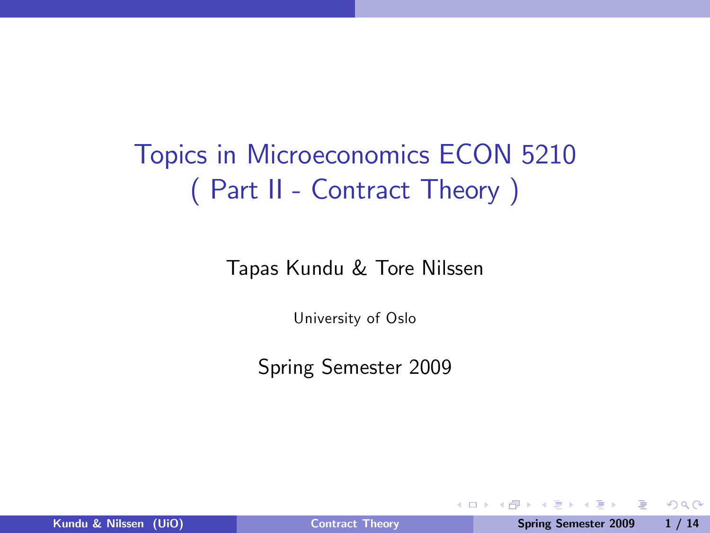# Topics in Microeconomics ECON 5210 ( Part II - Contract Theory )

Tapas Kundu & Tore Nilssen

University of Oslo

Spring Semester 2009

4 0 8

重

<span id="page-0-0"></span> $QQ$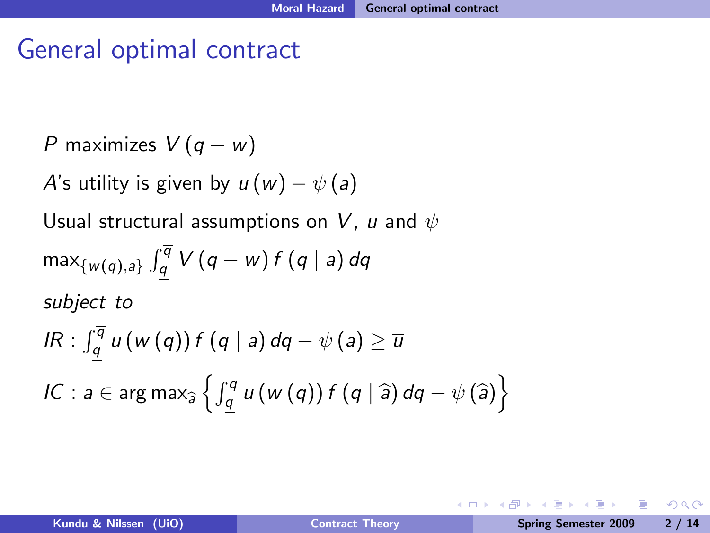## General optimal contract

P maximizes 
$$
V(q - w)
$$

A's utility is given by  $u(w) - \psi(a)$ 

Usual structural assumptions on V, u and  $\psi$ 

$$
\max_{\{w(q),a\}} \int_{\underline{q}}^{\overline{q}} V(q-w) f(q \mid a) dq
$$
\n
$$
\text{subject to}
$$
\n
$$
IR: \int_{\underline{q}}^{\overline{q}} u(w(q)) f(q \mid a) dq - \psi(a) \ge \overline{u}
$$
\n
$$
IC: a \in \arg \max_{\widehat{a}} \left\{ \int_{\underline{q}}^{\overline{q}} u(w(q)) f(q \mid \widehat{a}) dq - \psi(\widehat{a}) \right\}
$$

4 0 8

 $QQ$ 

重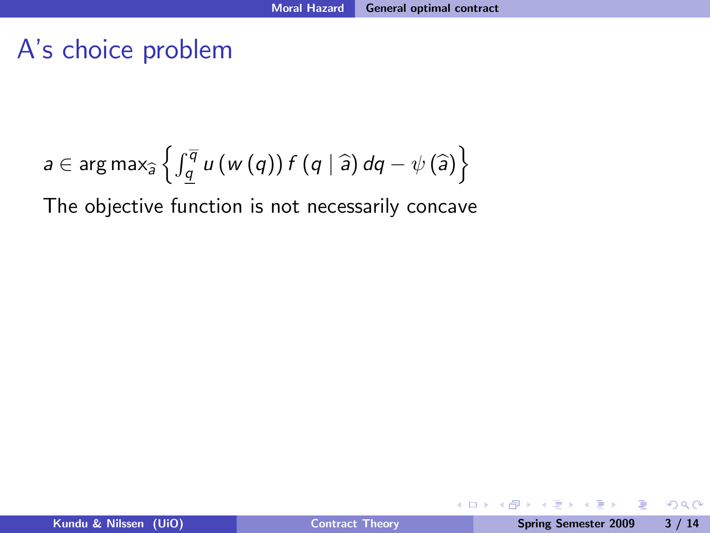$$
a \in \arg \max_{\widehat{a}} \left\{ \int_{\underline{q}}^{\overline{q}} u(w(q)) f(q | \widehat{a}) dq - \psi(\widehat{a}) \right\}
$$

The objective function is not necessarily concave

Bara B

**← ロ ▶ → イ 冊** 

Þ

 $2990$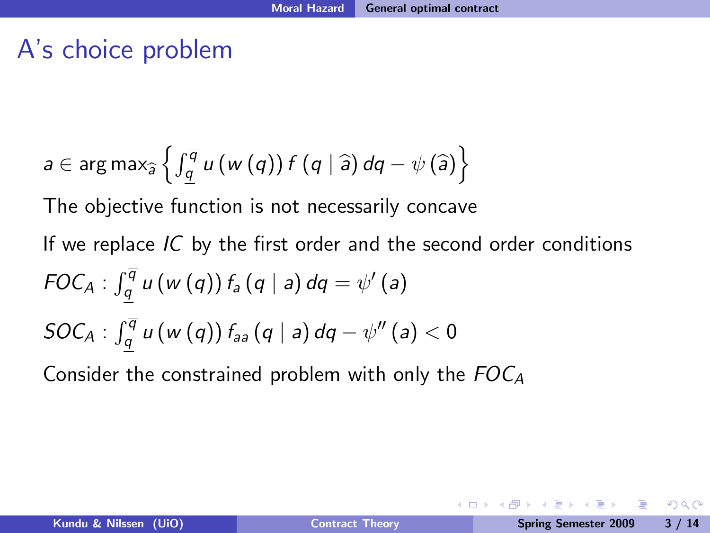$$
a \in \arg \max_{\widehat{a}} \left\{ \int_{\underline{q}}^{\overline{q}} u(w(q)) f(q | \widehat{a}) dq - \psi(\widehat{a}) \right\}
$$

The objective function is not necessarily concave

If we replace  $IC$  by the first order and the second order conditions  $FOC_A : \int_{q}^{\overline{q}} u(w(q)) f_a(q \mid a) dq = \psi'(a)$  $\textit{SOC}_A$  :  $\int_q^{\overline{q}} u\left(w\left(q\right)\right)f_{aa}\left(q\mid a\right)dq - \psi''\left(a\right) < 0$ 

Consider the constrained problem with only the  $FOC_A$ 

ാം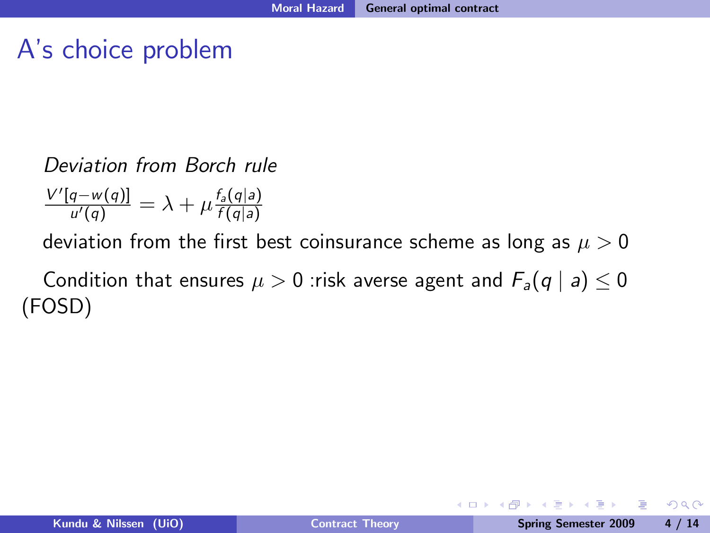#### Deviation from Borch rule

$$
\frac{V'[q-w(q)]}{u'(q)} = \lambda + \mu \frac{f_a(q|a)}{f(q|a)}
$$

deviation from the first best coinsurance scheme as long as  $\mu > 0$ 

Condition that ensures  $\mu > 0$  : risk averse agent and  $F_a(q \mid a) \leq 0$ (FOSD)

4 0 8

重

 $2990$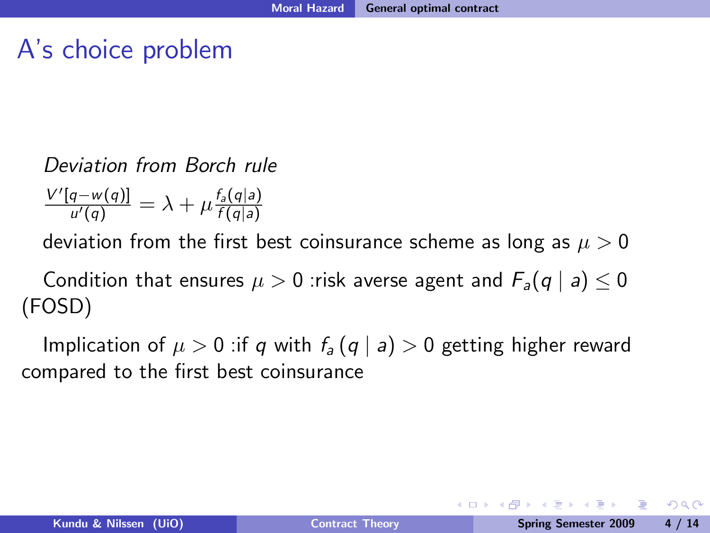#### Deviation from Borch rule

 $\frac{V'[q-w(q)]}{u'(q)} = \lambda + \mu \frac{f_a(q|a)}{f(q|a)}$  $f(q|a)$ 

deviation from the first best coinsurance scheme as long as  $\mu > 0$ 

Condition that ensures  $\mu > 0$  : risk averse agent and  $F_a(q \mid a) < 0$ (FOSD)

Implication of  $\mu > 0$  : if q with  $f_a(q | a) > 0$  getting higher reward compared to the first best coinsurance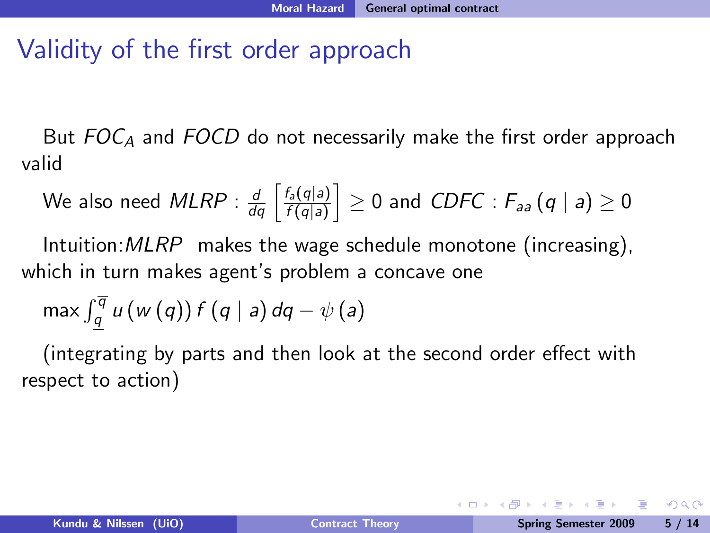## Validity of the first order approach

But  $FOC_A$  and  $FOCD$  do not necessarily make the first order approach valid

We also need 
$$
MLRP : \frac{d}{dq} \left[ \frac{f_a(q|a)}{f(q|a)} \right] \ge 0
$$
 and  $CDFC : F_{aa}(q | a) \ge 0$ 

Intuition:  $MLRP$  makes the wage schedule monotone (increasing), which in turn makes agent's problem a concave one

$$
\max \int_{q}^{\overline{q}} u(w(q)) f(q | a) dq - \psi(a)
$$

(integrating by parts and then look at the second order effect with respect to action)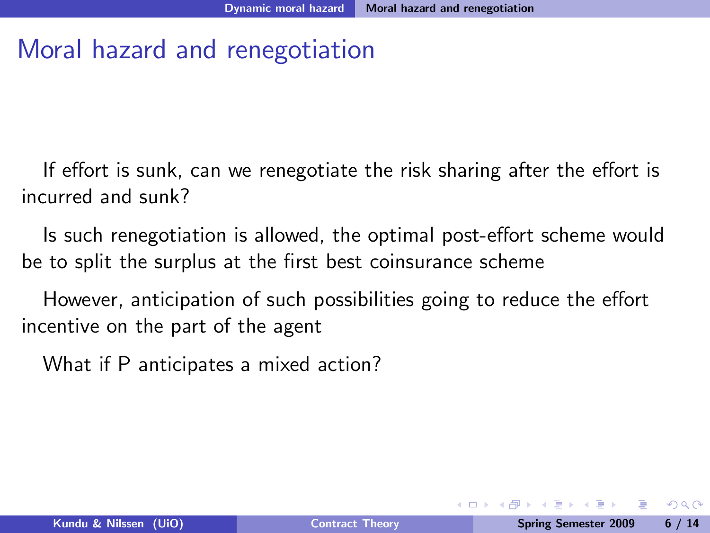## Moral hazard and renegotiation

If effort is sunk, can we renegotiate the risk sharing after the effort is incurred and sunk?

Is such renegotiation is allowed, the optimal post-effort scheme would be to split the surplus at the first best coinsurance scheme

However, anticipation of such possibilities going to reduce the effort incentive on the part of the agent

What if P anticipates a mixed action?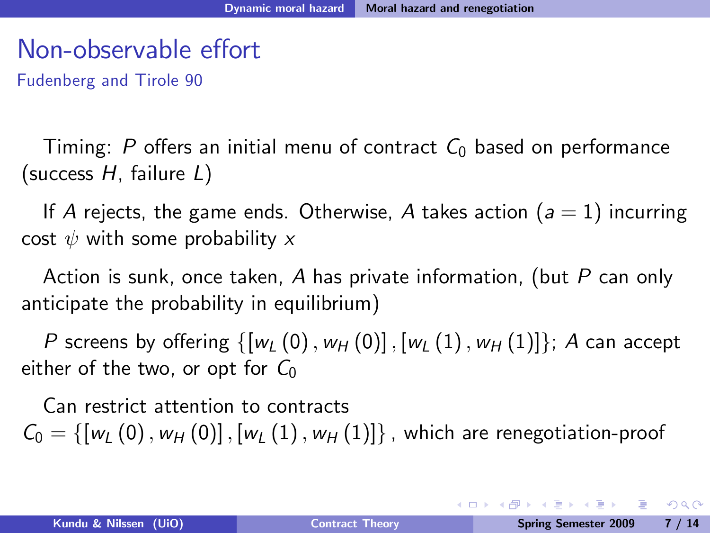Fudenberg and Tirole 90

Timing: P offers an initial menu of contract  $C_0$  based on performance (success  $H$ , failure  $L$ )

If A rejects, the game ends. Otherwise, A takes action  $(a = 1)$  incurring cost  $\psi$  with some probability x

Action is sunk, once taken, A has private information, (but P can only anticipate the probability in equilibrium)

P screens by offering  $\{[w_l (0), w_H (0)], [w_l (1), w_H (1)]\}$ ; A can accept either of the two, or opt for  $C_0$ 

Can restrict attention to contracts  $C_0 = \{ [w_l (0), w_H (0)] , [w_l (1), w_H (1)] \}$ , which are renegotiation-proof

KED KAD KED KED E LAGA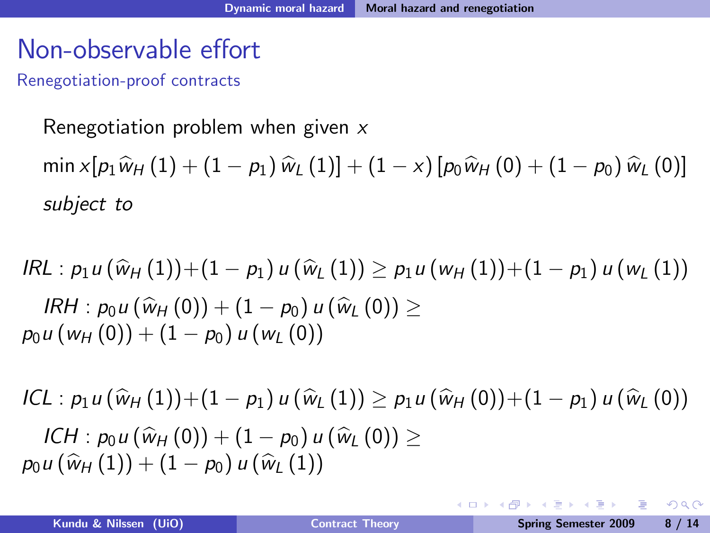Renegotiation-proof contracts

Renegotiation problem when given  $x$  $\min x[p_1\hat{w}_H (1) + (1 - p_1)\hat{w}_L (1)] + (1 - x)[p_0\hat{w}_H (0) + (1 - p_0)\hat{w}_L (0)]$ subject to

 $IRL: p_1u(\hat{w}_H (1))+(1-p_1)u(\hat{w}_H (1)) > p_1u(w_H (1))+(1-p_1)u(w_H (1))$  $IRH : p_0u(\hat{w}_H (0)) + (1 - p_0)u(\hat{w}_H (0)) >$  $p_0u(w_H(0)) + (1 - p_0)u(w_L(0))$ 

$$
ICL: p_1 u(\hat{w}_H(1)) + (1 - p_1) u(\hat{w}_L(1)) \ge p_1 u(\hat{w}_H(0)) + (1 - p_1) u(\hat{w}_L(0))
$$
  
\n
$$
ICH: p_0 u(\hat{w}_H(0)) + (1 - p_0) u(\hat{w}_L(0)) \ge
$$
  
\n
$$
p_0 u(\hat{w}_H(1)) + (1 - p_0) u(\hat{w}_L(1))
$$

 $\Omega$ 

**←ロ ▶ ← ← 冊 ▶**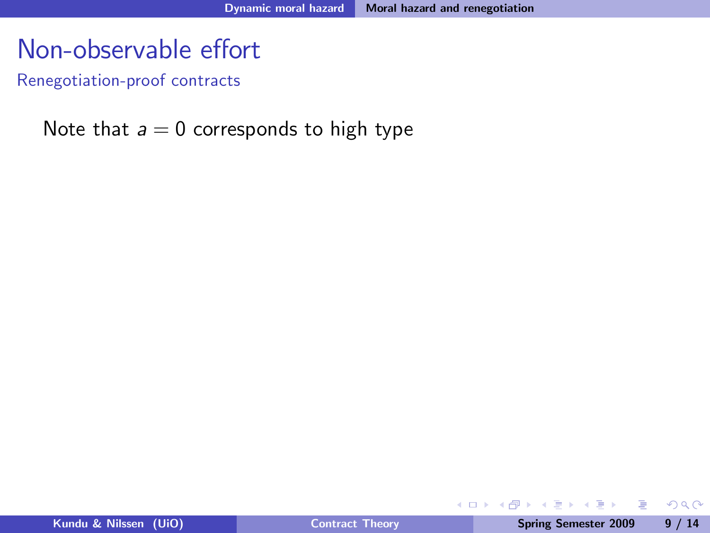Renegotiation-proof contracts

#### Note that  $a = 0$  corresponds to high type

Þ

 $2990$ 

ミメ マミメ

**← ロ ▶ → イ 冊**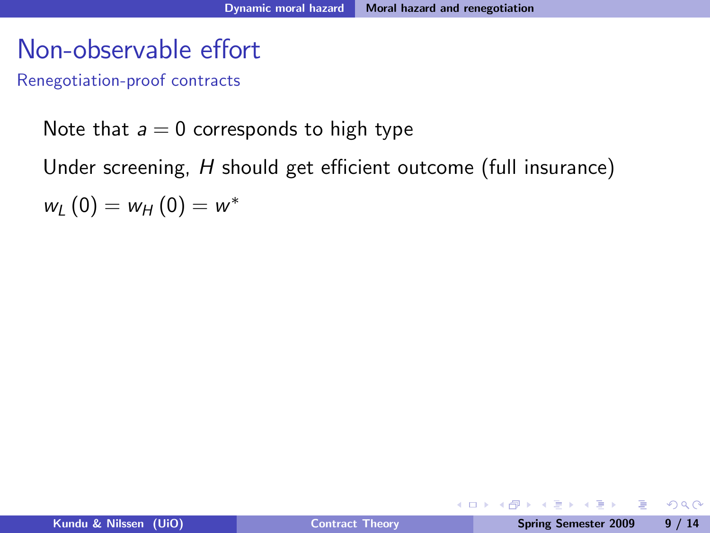Renegotiation-proof contracts

Note that  $a = 0$  corresponds to high type

Under screening,  $H$  should get efficient outcome (full insurance)

 $w_L(0) = w_H(0) = w^*$ 

D.

 $QQ$ 

 $\mathbb{B} \rightarrow \mathbb{R} \oplus \mathbb{R}$ 

**← ロ ▶ → イ 冊**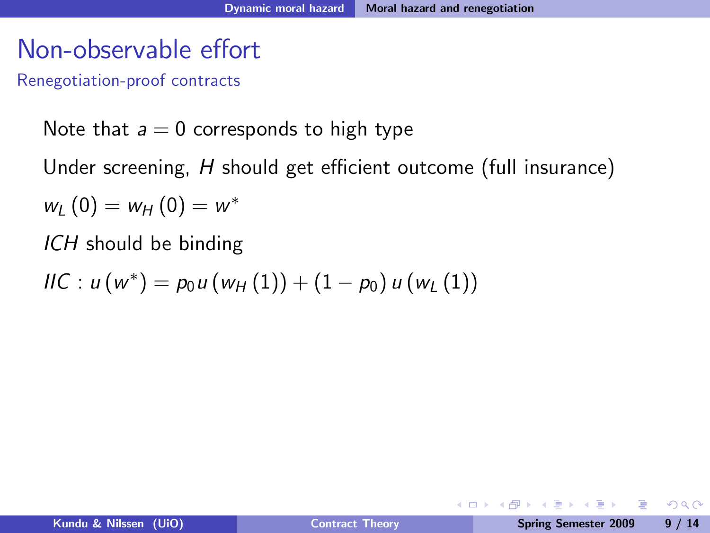Renegotiation-proof contracts

Note that  $a = 0$  corresponds to high type

Under screening,  $H$  should get efficient outcome (full insurance)

 $w_L(0) = w_H(0) = w^*$ 

ICH should be binding

$$
HC: u(w^*) = p_0 u(w_H(1)) + (1 - p_0) u(w_L(1))
$$

G.

 $2990$ 

ミメ マミメ

4 0 8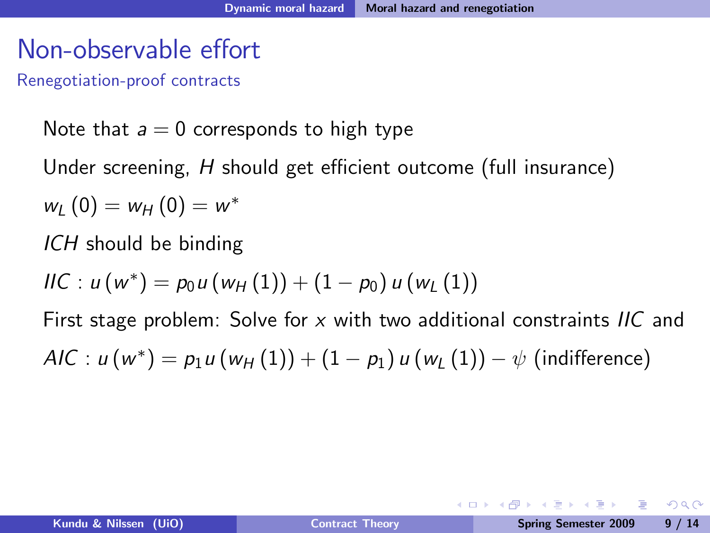Renegotiation-proof contracts

Note that  $a = 0$  corresponds to high type

Under screening,  $H$  should get efficient outcome (full insurance)

$$
w_{L}(0) = w_{H}(0) = w^{*}
$$

ICH should be binding

$$
HC: u(w^*) = p_0 u(w_H(1)) + (1 - p_0) u(w_L(1))
$$

First stage problem: Solve for x with two additional constraints  $\textit{HC}$  and  $\mathcal{AIC} : u(w^*) = p_1u(w_{\mathcal{H}}(1)) + (1-p_1)u(w_{\mathcal{L}}(1)) - \psi$  (indifference)

**Single Street** 

ാഹ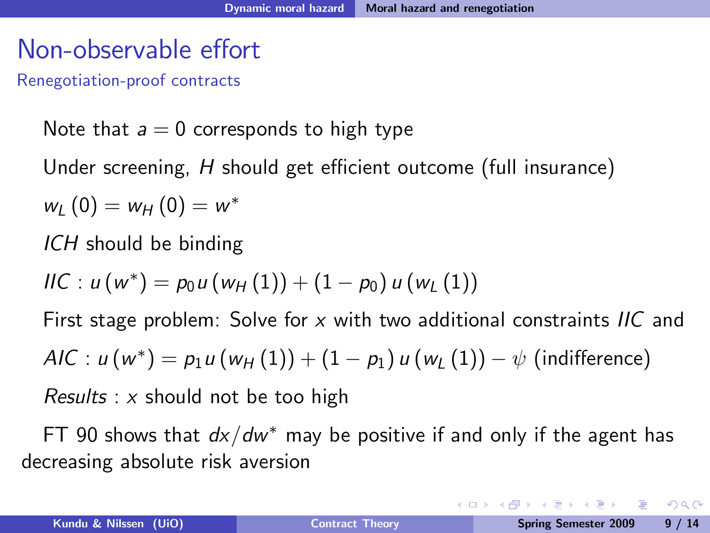Renegotiation-proof contracts

Note that  $a = 0$  corresponds to high type

Under screening,  $H$  should get efficient outcome (full insurance)

$$
w_{L}(0) = w_{H}(0) = w^{*}
$$

ICH should be binding

$$
HC: u(w^*) = p_0 u(w_H(1)) + (1 - p_0) u(w_L(1))
$$

First stage problem: Solve for x with two additional constraints  $\textit{HC}$  and  $\mathcal{AIC} : u(w^*) = p_1u(w_{\mathcal{H}}(1)) + (1-p_1)u(w_{\mathcal{L}}(1)) - \psi$  (indifference) Results :  $x$  should not be too high

FT 90 shows that  $dx/dw^*$  may be positive if and only if the agent has decreasing absolute risk aversion

KED KAD KED KED E LOQO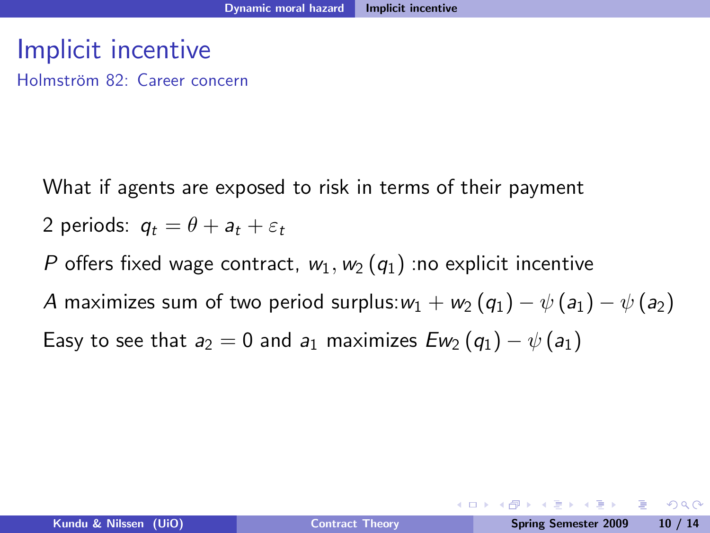### Implicit incentive

Holmström 82: Career concern

What if agents are exposed to risk in terms of their payment

- 2 periods:  $q_t = \theta + a_t + \varepsilon_t$
- P offers fixed wage contract,  $w_1, w_2 (q_1)$  :no explicit incentive

A maximizes sum of two period surplus:  $w_1 + w_2 (q_1) - \psi (a_1) - \psi (a_2)$ 

Easy to see that  $a_2 = 0$  and  $a_1$  maximizes  $Ew_2(q_1) - \psi(q_1)$ 

**Single Street**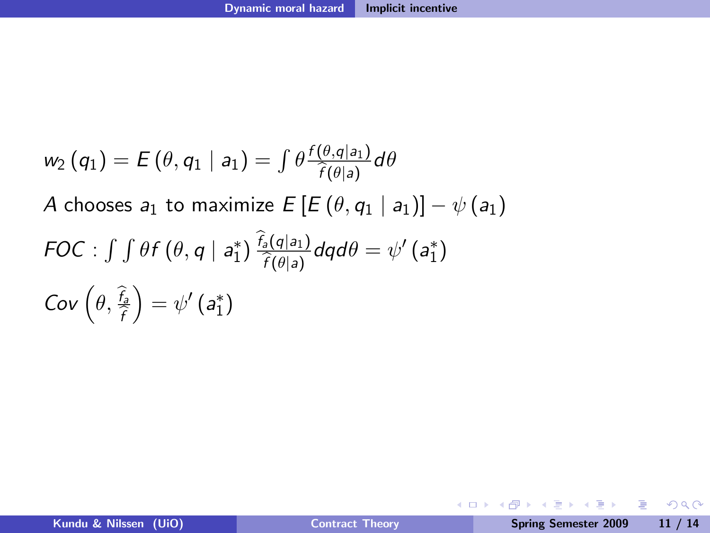$$
w_2(q_1) = E(\theta, q_1 | a_1) = \int \theta \frac{f(\theta, q|a_1)}{\hat{f}(\theta|a)} d\theta
$$
  
\nA chooses  $a_1$  to maximize  $E[E(\theta, q_1 | a_1)] - \psi(a_1)$   
\nFOC:  $\int \int \theta f(\theta, q | a_1^*) \frac{\hat{f}_2(q|a_1)}{\hat{f}(\theta|a)} dq d\theta = \psi'(a_1^*)$   
\nCov  $(\theta, \frac{\hat{f}_2}{\hat{f}}) = \psi'(a_1^*)$ 

K ロ > K 伊 > K 君 > K 君 > 「君」 の Q Q >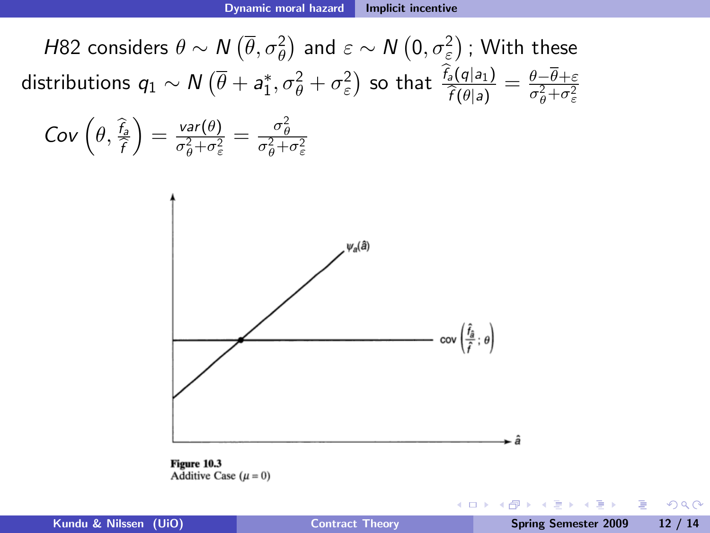H82 considers  $\theta \sim N\left(\overline{\theta},\sigma^2_{\theta}\right)$  and  $\varepsilon \sim N\left(0,\sigma^2_{\varepsilon}\right)$  ; With these distributions  $q_1 \sim N(\overline{\theta} + a_1^*, \sigma_{\theta}^2 + \sigma_{\varepsilon}^2)$  so that  $\frac{f_a(q|a_1)}{\widehat{f}(\theta|a)} = \frac{\theta - \theta + \varepsilon}{\sigma_{\theta}^2 + \sigma_{\varepsilon}^2}$ 

$$
Cov\left(\theta, \frac{\hat{f}_{\hat{\theta}}}{\hat{f}}\right) = \frac{var(\theta)}{\sigma_{\theta}^2 + \sigma_{\varepsilon}^2} = \frac{\sigma_{\theta}^2}{\sigma_{\theta}^2 + \sigma_{\varepsilon}^2}
$$





4日 8